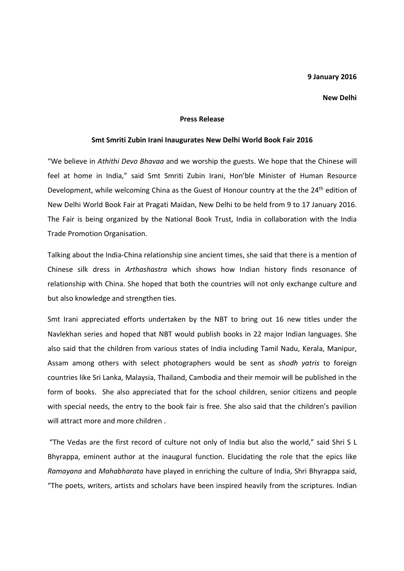## 9 January 2016

## New Delhi

## Press Release

## Smt Smriti Zubin Irani Inaugurates New Delhi World Book Fair 2016

"We believe in Athithi Devo Bhavaa and we worship the guests. We hope that the Chinese will feel at home in India," said Smt Smriti Zubin Irani, Hon'ble Minister of Human Resource Development, while welcoming China as the Guest of Honour country at the the 24<sup>th</sup> edition of New Delhi World Book Fair at Pragati Maidan, New Delhi to be held from 9 to 17 January 2016. The Fair is being organized by the National Book Trust, India in collaboration with the India Trade Promotion Organisation.

Talking about the India-China relationship sine ancient times, she said that there is a mention of Chinese silk dress in Arthashastra which shows how Indian history finds resonance of relationship with China. She hoped that both the countries will not only exchange culture and but also knowledge and strengthen ties.

Smt Irani appreciated efforts undertaken by the NBT to bring out 16 new titles under the Navlekhan series and hoped that NBT would publish books in 22 major Indian languages. She also said that the children from various states of India including Tamil Nadu, Kerala, Manipur, Assam among others with select photographers would be sent as shodh yatris to foreign countries like Sri Lanka, Malaysia, Thailand, Cambodia and their memoir will be published in the form of books. She also appreciated that for the school children, senior citizens and people with special needs, the entry to the book fair is free. She also said that the children's pavilion will attract more and more children

 "The Vedas are the first record of culture not only of India but also the world," said Shri S L Bhyrappa, eminent author at the inaugural function. Elucidating the role that the epics like Ramayana and Mahabharata have played in enriching the culture of India, Shri Bhyrappa said, "The poets, writers, artists and scholars have been inspired heavily from the scriptures. Indian